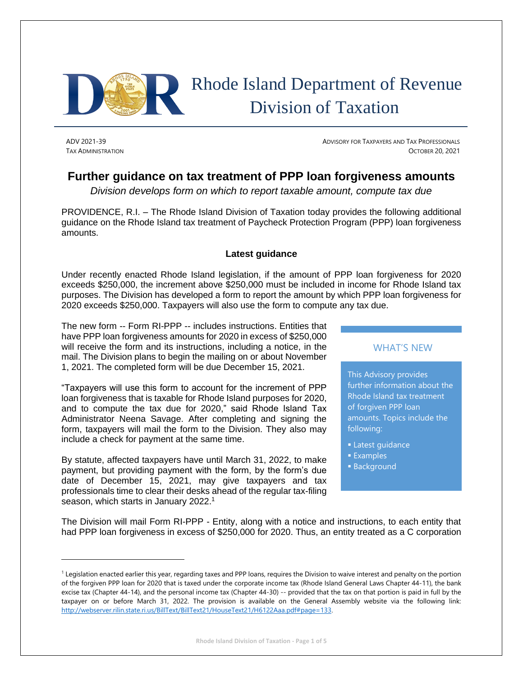

# Rhode Island Department of Revenue Division of Taxation

ADV 2021-39 **ADVISORY FOR TAXPAYERS AND TAX PROFESSIONALS** TAX ADMINISTRATION OCTOBER 20, 2021

# **Further guidance on tax treatment of PPP loan forgiveness amounts**

*Division develops form on which to report taxable amount, compute tax due*

PROVIDENCE, R.I. – The Rhode Island Division of Taxation today provides the following additional guidance on the Rhode Island tax treatment of Paycheck Protection Program (PPP) loan forgiveness amounts.

## **Latest guidance**

Under recently enacted Rhode Island legislation, if the amount of PPP loan forgiveness for 2020 exceeds \$250,000, the increment above \$250,000 must be included in income for Rhode Island tax purposes. The Division has developed a form to report the amount by which PPP loan forgiveness for 2020 exceeds \$250,000. Taxpayers will also use the form to compute any tax due.

The new form -- Form RI-PPP -- includes instructions. Entities that have PPP loan forgiveness amounts for 2020 in excess of \$250,000 will receive the form and its instructions, including a notice, in the mail. The Division plans to begin the mailing on or about November 1, 2021. The completed form will be due December 15, 2021.

"Taxpayers will use this form to account for the increment of PPP loan forgiveness that is taxable for Rhode Island purposes for 2020, and to compute the tax due for 2020," said Rhode Island Tax Administrator Neena Savage. After completing and signing the form, taxpayers will mail the form to the Division. They also may include a check for payment at the same time.

By statute, affected taxpayers have until March 31, 2022, to make payment, but providing payment with the form, by the form's due date of December 15, 2021, may give taxpayers and tax professionals time to clear their desks ahead of the regular tax-filing season, which starts in January 2022.<sup>1</sup>

#### WHAT'S NEW

This Advisory provides further information about the Rhode Island tax treatment of forgiven PPP loan amounts. Topics include the following:

- **Latest guidance**
- Examples
- **Background**

The Division will mail Form RI-PPP - Entity, along with a notice and instructions, to each entity that had PPP loan forgiveness in excess of \$250,000 for 2020. Thus, an entity treated as a C corporation

<sup>&</sup>lt;sup>1</sup> Legislation enacted earlier this year, regarding taxes and PPP loans, requires the Division to waive interest and penalty on the portion of the forgiven PPP loan for 2020 that is taxed under the corporate income tax (Rhode Island General Laws Chapter 44-11), the bank excise tax (Chapter 44-14), and the personal income tax (Chapter 44-30) -- provided that the tax on that portion is paid in full by the taxpayer on or before March 31, 2022. The provision is available on the General Assembly website via the following link: [http://webserver.rilin.state.ri.us/BillText/BillText21/HouseText21/H6122Aaa.pdf#page=133.](http://webserver.rilin.state.ri.us/BillText/BillText21/HouseText21/H6122Aaa.pdf#page=133)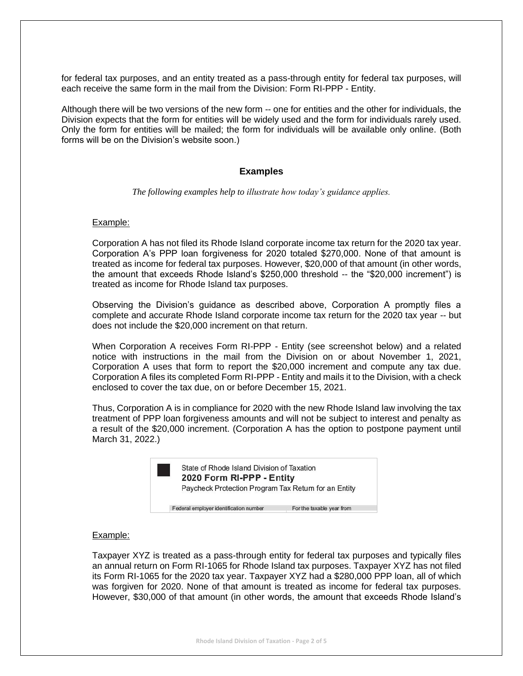for federal tax purposes, and an entity treated as a pass-through entity for federal tax purposes, will each receive the same form in the mail from the Division: Form RI-PPP - Entity.

Although there will be two versions of the new form -- one for entities and the other for individuals, the Division expects that the form for entities will be widely used and the form for individuals rarely used. Only the form for entities will be mailed; the form for individuals will be available only online. (Both forms will be on the Division's website soon.)

#### **Examples**

*The following examples help to illustrate how today's guidance applies.*

#### Example:

Corporation A has not filed its Rhode Island corporate income tax return for the 2020 tax year. Corporation A's PPP loan forgiveness for 2020 totaled \$270,000. None of that amount is treated as income for federal tax purposes. However, \$20,000 of that amount (in other words, the amount that exceeds Rhode Island's \$250,000 threshold -- the "\$20,000 increment") is treated as income for Rhode Island tax purposes.

Observing the Division's guidance as described above, Corporation A promptly files a complete and accurate Rhode Island corporate income tax return for the 2020 tax year -- but does not include the \$20,000 increment on that return.

When Corporation A receives Form RI-PPP - Entity (see screenshot below) and a related notice with instructions in the mail from the Division on or about November 1, 2021, Corporation A uses that form to report the \$20,000 increment and compute any tax due. Corporation A files its completed Form RI-PPP - Entity and mails it to the Division, with a check enclosed to cover the tax due, on or before December 15, 2021.

Thus, Corporation A is in compliance for 2020 with the new Rhode Island law involving the tax treatment of PPP loan forgiveness amounts and will not be subject to interest and penalty as a result of the \$20,000 increment. (Corporation A has the option to postpone payment until March 31, 2022.)



#### Example:

Taxpayer XYZ is treated as a pass-through entity for federal tax purposes and typically files an annual return on Form RI-1065 for Rhode Island tax purposes. Taxpayer XYZ has not filed its Form RI-1065 for the 2020 tax year. Taxpayer XYZ had a \$280,000 PPP loan, all of which was forgiven for 2020. None of that amount is treated as income for federal tax purposes. However, \$30,000 of that amount (in other words, the amount that exceeds Rhode Island's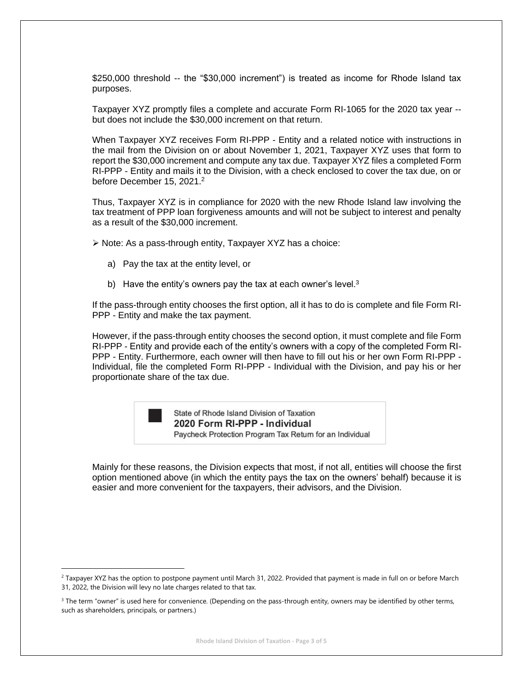\$250,000 threshold -- the "\$30,000 increment") is treated as income for Rhode Island tax purposes.

Taxpayer XYZ promptly files a complete and accurate Form RI-1065 for the 2020 tax year - but does not include the \$30,000 increment on that return.

When Taxpayer XYZ receives Form RI-PPP - Entity and a related notice with instructions in the mail from the Division on or about November 1, 2021, Taxpayer XYZ uses that form to report the \$30,000 increment and compute any tax due. Taxpayer XYZ files a completed Form RI-PPP - Entity and mails it to the Division, with a check enclosed to cover the tax due, on or before December 15, 2021.<sup>2</sup>

Thus, Taxpayer XYZ is in compliance for 2020 with the new Rhode Island law involving the tax treatment of PPP loan forgiveness amounts and will not be subject to interest and penalty as a result of the \$30,000 increment.

➢ Note: As a pass-through entity, Taxpayer XYZ has a choice:

- a) Pay the tax at the entity level, or
- b) Have the entity's owners pay the tax at each owner's level.<sup>3</sup>

If the pass-through entity chooses the first option, all it has to do is complete and file Form RI-PPP - Entity and make the tax payment.

However, if the pass-through entity chooses the second option, it must complete and file Form RI-PPP - Entity and provide each of the entity's owners with a copy of the completed Form RI-PPP - Entity. Furthermore, each owner will then have to fill out his or her own Form RI-PPP - Individual, file the completed Form RI-PPP - Individual with the Division, and pay his or her proportionate share of the tax due.



State of Rhode Island Division of Taxation 2020 Form RI-PPP - Individual Paycheck Protection Program Tax Return for an Individual

Mainly for these reasons, the Division expects that most, if not all, entities will choose the first option mentioned above (in which the entity pays the tax on the owners' behalf) because it is easier and more convenient for the taxpayers, their advisors, and the Division.

<sup>&</sup>lt;sup>2</sup> Taxpayer XYZ has the option to postpone payment until March 31, 2022. Provided that payment is made in full on or before March 31, 2022, the Division will levy no late charges related to that tax.

<sup>&</sup>lt;sup>3</sup> The term "owner" is used here for convenience. (Depending on the pass-through entity, owners may be identified by other terms, such as shareholders, principals, or partners.)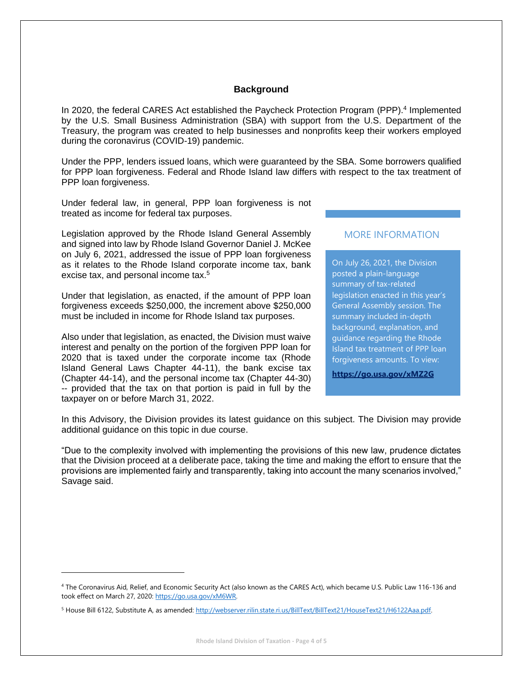#### **Background**

In 2020, the federal CARES Act established the Paycheck Protection Program (PPP).<sup>4</sup> Implemented by the U.S. Small Business Administration (SBA) with support from the U.S. Department of the Treasury, the program was created to help businesses and nonprofits keep their workers employed during the coronavirus (COVID-19) pandemic.

Under the PPP, lenders issued loans, which were guaranteed by the SBA. Some borrowers qualified for PPP loan forgiveness. Federal and Rhode Island law differs with respect to the tax treatment of PPP loan forgiveness.

Under federal law, in general, PPP loan forgiveness is not treated as income for federal tax purposes.

Legislation approved by the Rhode Island General Assembly and signed into law by Rhode Island Governor Daniel J. McKee on July 6, 2021, addressed the issue of PPP loan forgiveness as it relates to the Rhode Island corporate income tax, bank excise tax, and personal income tax.<sup>5</sup>

Under that legislation, as enacted, if the amount of PPP loan forgiveness exceeds \$250,000, the increment above \$250,000 must be included in income for Rhode Island tax purposes.

Also under that legislation, as enacted, the Division must waive interest and penalty on the portion of the forgiven PPP loan for 2020 that is taxed under the corporate income tax (Rhode Island General Laws Chapter 44-11), the bank excise tax (Chapter 44-14), and the personal income tax (Chapter 44-30) -- provided that the tax on that portion is paid in full by the taxpayer on or before March 31, 2022.

# MORE INFORMATION

On July 26, 2021, the Division posted a plain-language summary of tax-related legislation enacted in this year's General Assembly session. The summary included in-depth background, explanation, and guidance regarding the Rhode Island tax treatment of PPP loan forgiveness amounts. To view:

**<https://go.usa.gov/xMZ2G>**

In this Advisory, the Division provides its latest guidance on this subject. The Division may provide additional guidance on this topic in due course.

"Due to the complexity involved with implementing the provisions of this new law, prudence dictates that the Division proceed at a deliberate pace, taking the time and making the effort to ensure that the provisions are implemented fairly and transparently, taking into account the many scenarios involved," Savage said.

<sup>4</sup> The Coronavirus Aid, Relief, and Economic Security Act (also known as the CARES Act), which became U.S. Public Law 116-136 and took effect on March 27, 2020: [https://go.usa.gov/xM6WR.](https://go.usa.gov/xM6WR)

<sup>&</sup>lt;sup>5</sup> House Bill 6122, Substitute A, as amended[: http://webserver.rilin.state.ri.us/BillText/BillText21/HouseText21/H6122Aaa.pdf.](http://webserver.rilin.state.ri.us/BillText/BillText21/HouseText21/H6122Aaa.pdf)